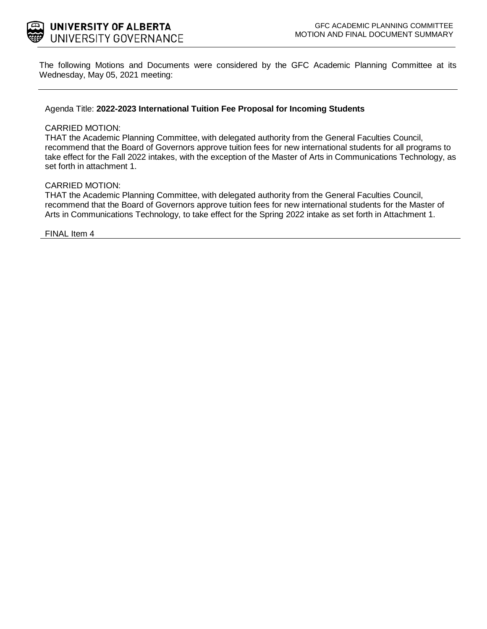

The following Motions and Documents were considered by the GFC Academic Planning Committee at its Wednesday, May 05, 2021 meeting:

### Agenda Title: **2022-2023 International Tuition Fee Proposal for Incoming Students**

#### CARRIED MOTION:

THAT the Academic Planning Committee, with delegated authority from the General Faculties Council, recommend that the Board of Governors approve tuition fees for new international students for all programs to take effect for the Fall 2022 intakes, with the exception of the Master of Arts in Communications Technology, as set forth in attachment 1.

### CARRIED MOTION:

THAT the Academic Planning Committee, with delegated authority from the General Faculties Council, recommend that the Board of Governors approve tuition fees for new international students for the Master of Arts in Communications Technology, to take effect for the Spring 2022 intake as set forth in Attachment 1.

FINAL Item 4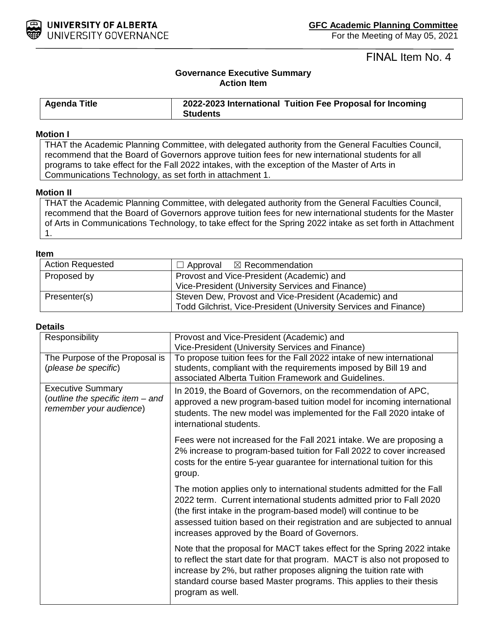

# FINAL Item No. 4

## **Governance Executive Summary Action Item**

| <b>Agenda Title</b> | 2022-2023 International Tuition Fee Proposal for Incoming |
|---------------------|-----------------------------------------------------------|
|                     | <b>Students</b>                                           |

### **Motion I**

THAT the Academic Planning Committee, with delegated authority from the General Faculties Council, recommend that the Board of Governors approve tuition fees for new international students for all programs to take effect for the Fall 2022 intakes, with the exception of the Master of Arts in Communications Technology, as set forth in attachment 1.

### **Motion II**

THAT the Academic Planning Committee, with delegated authority from the General Faculties Council, recommend that the Board of Governors approve tuition fees for new international students for the Master of Arts in Communications Technology, to take effect for the Spring 2022 intake as set forth in Attachment 1.

#### **Item**

| <b>Action Requested</b> | $\Box$ Approval $\boxtimes$ Recommendation                       |  |  |  |
|-------------------------|------------------------------------------------------------------|--|--|--|
| Proposed by             | Provost and Vice-President (Academic) and                        |  |  |  |
|                         | Vice-President (University Services and Finance)                 |  |  |  |
| Presenter(s)            | Steven Dew, Provost and Vice-President (Academic) and            |  |  |  |
|                         | Todd Gilchrist, Vice-President (University Services and Finance) |  |  |  |

#### **Details**

|  | Responsibility                                                                          | Provost and Vice-President (Academic) and<br>Vice-President (University Services and Finance)                                                                                                                                                                                                                                                      |
|--|-----------------------------------------------------------------------------------------|----------------------------------------------------------------------------------------------------------------------------------------------------------------------------------------------------------------------------------------------------------------------------------------------------------------------------------------------------|
|  | The Purpose of the Proposal is<br>(please be specific)                                  | To propose tuition fees for the Fall 2022 intake of new international<br>students, compliant with the requirements imposed by Bill 19 and<br>associated Alberta Tuition Framework and Guidelines.                                                                                                                                                  |
|  | <b>Executive Summary</b><br>(outline the specific item – and<br>remember your audience) | In 2019, the Board of Governors, on the recommendation of APC,<br>approved a new program-based tuition model for incoming international<br>students. The new model was implemented for the Fall 2020 intake of<br>international students.                                                                                                          |
|  |                                                                                         | Fees were not increased for the Fall 2021 intake. We are proposing a<br>2% increase to program-based tuition for Fall 2022 to cover increased<br>costs for the entire 5-year guarantee for international tuition for this<br>group.                                                                                                                |
|  |                                                                                         | The motion applies only to international students admitted for the Fall<br>2022 term. Current international students admitted prior to Fall 2020<br>(the first intake in the program-based model) will continue to be<br>assessed tuition based on their registration and are subjected to annual<br>increases approved by the Board of Governors. |
|  |                                                                                         | Note that the proposal for MACT takes effect for the Spring 2022 intake<br>to reflect the start date for that program. MACT is also not proposed to<br>increase by 2%, but rather proposes aligning the tuition rate with<br>standard course based Master programs. This applies to their thesis<br>program as well.                               |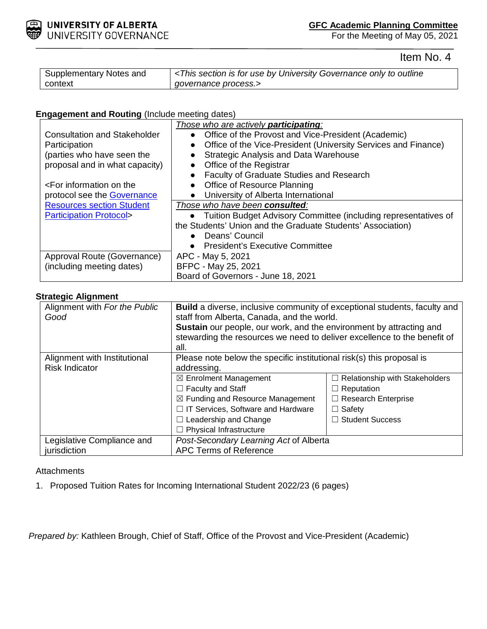

For the Meeting of May 05, 2021

Item No. 4

| Supplementary Notes and | <this by="" for="" governance="" is="" only="" outline<="" section="" th="" to="" university="" use=""></this> |
|-------------------------|----------------------------------------------------------------------------------------------------------------|
| context                 | governance process.>                                                                                           |

## **Engagement and Routing** (Include meeting dates)

|                                                                                      | Those who are actively <b>participating</b> :                     |  |  |  |
|--------------------------------------------------------------------------------------|-------------------------------------------------------------------|--|--|--|
| <b>Consultation and Stakeholder</b>                                                  | Office of the Provost and Vice-President (Academic)               |  |  |  |
| Participation                                                                        | Office of the Vice-President (University Services and Finance)    |  |  |  |
| (parties who have seen the                                                           | <b>Strategic Analysis and Data Warehouse</b>                      |  |  |  |
| proposal and in what capacity)                                                       | Office of the Registrar                                           |  |  |  |
|                                                                                      | Faculty of Graduate Studies and Research                          |  |  |  |
| <for information="" on="" td="" the<=""><td>• Office of Resource Planning</td></for> | • Office of Resource Planning                                     |  |  |  |
| protocol see the Governance                                                          | University of Alberta International                               |  |  |  |
| <b>Resources section Student</b>                                                     | Those who have been consulted:                                    |  |  |  |
| <b>Participation Protocol&gt;</b>                                                    | • Tuition Budget Advisory Committee (including representatives of |  |  |  |
|                                                                                      | the Students' Union and the Graduate Students' Association)       |  |  |  |
|                                                                                      | Deans' Council                                                    |  |  |  |
|                                                                                      | • President's Executive Committee                                 |  |  |  |
| Approval Route (Governance)                                                          | APC - May 5, 2021                                                 |  |  |  |
| (including meeting dates)                                                            | BFPC - May 25, 2021                                               |  |  |  |
|                                                                                      | Board of Governors - June 18, 2021                                |  |  |  |

### **Strategic Alignment**

| Alignment with For the Public<br>Good | <b>Build</b> a diverse, inclusive community of exceptional students, faculty and<br>staff from Alberta, Canada, and the world.<br><b>Sustain</b> our people, our work, and the environment by attracting and<br>stewarding the resources we need to deliver excellence to the benefit of<br>all. |                            |  |
|---------------------------------------|--------------------------------------------------------------------------------------------------------------------------------------------------------------------------------------------------------------------------------------------------------------------------------------------------|----------------------------|--|
| Alignment with Institutional          | Please note below the specific institutional risk(s) this proposal is                                                                                                                                                                                                                            |                            |  |
| <b>Risk Indicator</b>                 | addressing.                                                                                                                                                                                                                                                                                      |                            |  |
|                                       | $\boxtimes$ Enrolment Management<br>$\Box$ Relationship with Stakeholders                                                                                                                                                                                                                        |                            |  |
|                                       | $\Box$ Faculty and Staff                                                                                                                                                                                                                                                                         | $\Box$ Reputation          |  |
|                                       | $\boxtimes$ Funding and Resource Management                                                                                                                                                                                                                                                      | $\Box$ Research Enterprise |  |
|                                       | $\Box$ IT Services, Software and Hardware                                                                                                                                                                                                                                                        | $\Box$ Safety              |  |
|                                       | $\Box$ Student Success<br>$\Box$ Leadership and Change                                                                                                                                                                                                                                           |                            |  |
|                                       | $\Box$ Physical Infrastructure                                                                                                                                                                                                                                                                   |                            |  |
| Legislative Compliance and            | Post-Secondary Learning Act of Alberta                                                                                                                                                                                                                                                           |                            |  |
| jurisdiction                          | <b>APC Terms of Reference</b>                                                                                                                                                                                                                                                                    |                            |  |

## **Attachments**

1. Proposed Tuition Rates for Incoming International Student 2022/23 (6 pages)

*Prepared by:* Kathleen Brough, Chief of Staff, Office of the Provost and Vice-President (Academic)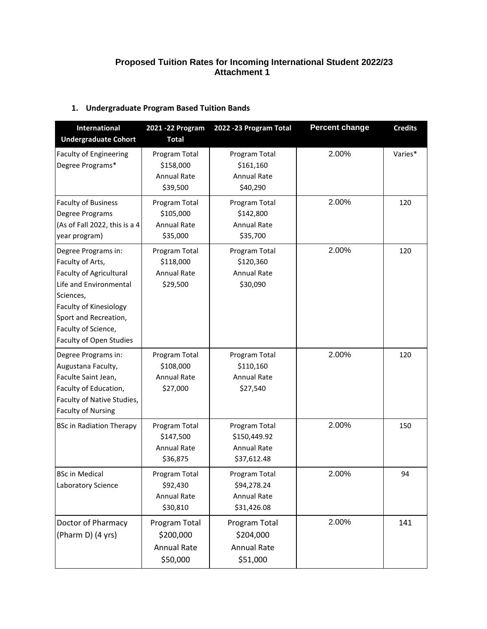## **Proposed Tuition Rates for Incoming International Student 2022/23 Attachment 1**

## **1. Undergraduate Program Based Tuition Bands**

| <b>International</b><br><b>Undergraduate Cohort</b>                                                                                                                                                            | 2021 - 22 Program<br><b>Total</b>                            | 2022 - 23 Program Total                                            | <b>Percent change</b> | <b>Credits</b> |
|----------------------------------------------------------------------------------------------------------------------------------------------------------------------------------------------------------------|--------------------------------------------------------------|--------------------------------------------------------------------|-----------------------|----------------|
| <b>Faculty of Engineering</b><br>Degree Programs*                                                                                                                                                              | Program Total<br>\$158,000<br><b>Annual Rate</b><br>\$39,500 | Program Total<br>\$161,160<br><b>Annual Rate</b><br>\$40,290       | 2.00%                 | Varies*        |
| <b>Faculty of Business</b><br>Degree Programs<br>(As of Fall 2022, this is a 4<br>year program)                                                                                                                | Program Total<br>\$105,000<br><b>Annual Rate</b><br>\$35,000 | Program Total<br>\$142,800<br><b>Annual Rate</b><br>\$35,700       | 2.00%                 | 120            |
| Degree Programs in:<br>Faculty of Arts,<br>Faculty of Agricultural<br>Life and Environmental<br>Sciences,<br>Faculty of Kinesiology<br>Sport and Recreation,<br>Faculty of Science,<br>Faculty of Open Studies | Program Total<br>\$118,000<br><b>Annual Rate</b><br>\$29,500 | Program Total<br>\$120,360<br><b>Annual Rate</b><br>\$30,090       | 2.00%                 | 120            |
| Degree Programs in:<br>Augustana Faculty,<br>Faculte Saint Jean,<br>Faculty of Education,<br>Faculty of Native Studies,<br><b>Faculty of Nursing</b>                                                           | Program Total<br>\$108,000<br>Annual Rate<br>\$27,000        | Program Total<br>\$110,160<br><b>Annual Rate</b><br>\$27,540       | 2.00%                 | 120            |
| <b>BSc in Radiation Therapy</b>                                                                                                                                                                                | Program Total<br>\$147,500<br>Annual Rate<br>\$36,875        | Program Total<br>\$150,449.92<br><b>Annual Rate</b><br>\$37,612.48 | 2.00%                 | 150            |
| <b>BSc in Medical</b><br>Laboratory Science                                                                                                                                                                    | Program Total<br>\$92,430<br><b>Annual Rate</b><br>\$30,810  | Program Total<br>\$94,278.24<br><b>Annual Rate</b><br>\$31,426.08  | 2.00%                 | 94             |
| Doctor of Pharmacy<br>(Pharm D) (4 yrs)                                                                                                                                                                        | Program Total<br>\$200,000<br><b>Annual Rate</b><br>\$50,000 | Program Total<br>\$204,000<br><b>Annual Rate</b><br>\$51,000       | 2.00%                 | 141            |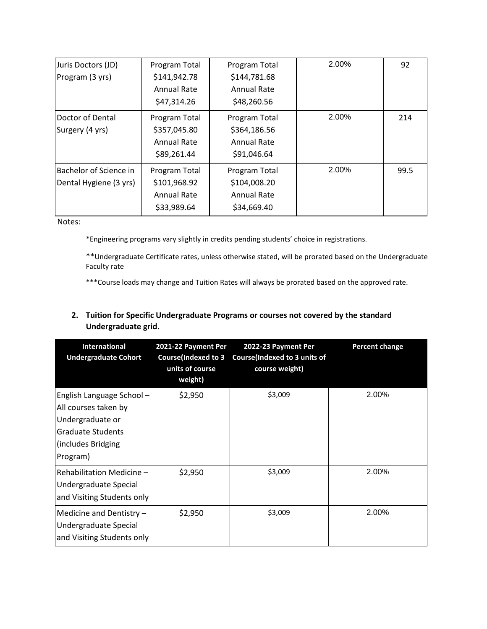| Juris Doctors (JD)<br>Program (3 yrs)            | Program Total<br>\$141,942.78<br><b>Annual Rate</b><br>\$47,314.26 | Program Total<br>\$144,781.68<br><b>Annual Rate</b><br>\$48,260.56 | 2.00% | 92   |
|--------------------------------------------------|--------------------------------------------------------------------|--------------------------------------------------------------------|-------|------|
| Doctor of Dental<br>Surgery (4 yrs)              | Program Total<br>\$357,045.80<br><b>Annual Rate</b><br>\$89,261.44 | Program Total<br>\$364,186.56<br>Annual Rate<br>\$91,046.64        | 2.00% | 214  |
| Bachelor of Science in<br>Dental Hygiene (3 yrs) | Program Total<br>\$101,968.92<br><b>Annual Rate</b><br>\$33,989.64 | Program Total<br>\$104,008.20<br><b>Annual Rate</b><br>\$34,669.40 | 2.00% | 99.5 |

Notes:

\*Engineering programs vary slightly in credits pending students' choice in registrations.

\*\*Undergraduate Certificate rates, unless otherwise stated, will be prorated based on the Undergraduate Faculty rate

\*\*\*Course loads may change and Tuition Rates will always be prorated based on the approved rate.

## **2. Tuition for Specific Undergraduate Programs or courses not covered by the standard Undergraduate grid.**

| <b>International</b><br><b>Undergraduate Cohort</b>                                                                                | 2021-22 Payment Per<br><b>Course(Indexed to 3</b><br>units of course<br>weight) | 2022-23 Payment Per<br><b>Course(Indexed to 3 units of</b><br>course weight) | <b>Percent change</b> |
|------------------------------------------------------------------------------------------------------------------------------------|---------------------------------------------------------------------------------|------------------------------------------------------------------------------|-----------------------|
| English Language School-<br>All courses taken by<br>Undergraduate or<br><b>Graduate Students</b><br>(includes Bridging<br>Program) | \$2,950                                                                         | \$3,009                                                                      | 2.00%                 |
| Rehabilitation Medicine -<br>Undergraduate Special<br>and Visiting Students only                                                   | \$2,950                                                                         | \$3,009                                                                      | 2.00%                 |
| Medicine and Dentistry -<br>Undergraduate Special<br>and Visiting Students only                                                    | \$2,950                                                                         | \$3,009                                                                      | 2.00%                 |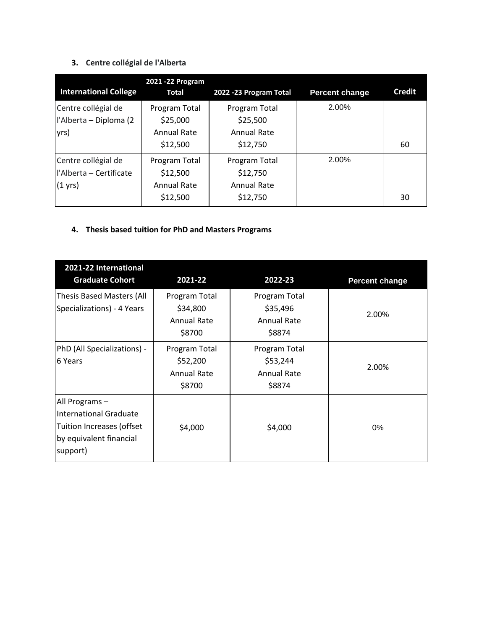# **3. Centre collégial de l'Alberta**

|                              | 2021 - 22 Program  |                        |                |        |
|------------------------------|--------------------|------------------------|----------------|--------|
| <b>International College</b> | <b>Total</b>       | 2022 -23 Program Total | Percent change | Credit |
| Centre collégial de          | Program Total      | Program Total          | 2.00%          |        |
| l'Alberta - Diploma (2       | \$25,000           | \$25,500               |                |        |
| yrs)                         | Annual Rate        | <b>Annual Rate</b>     |                |        |
|                              | \$12,500           | \$12,750               |                | 60     |
| Centre collégial de          | Program Total      | Program Total          | 2.00%          |        |
| l'Alberta - Certificate      | \$12,500           | \$12,750               |                |        |
| $(1 \text{ yrs})$            | <b>Annual Rate</b> | <b>Annual Rate</b>     |                |        |
|                              | \$12,500           | \$12,750               |                | 30     |

## **4. Thesis based tuition for PhD and Masters Programs**

| 2021-22 International<br><b>Graduate Cohort</b>                                                                     | 2021-22                                                   | 2022-23                                                   | <b>Percent change</b> |
|---------------------------------------------------------------------------------------------------------------------|-----------------------------------------------------------|-----------------------------------------------------------|-----------------------|
| <b>Thesis Based Masters (All</b><br>Specializations) - 4 Years                                                      | Program Total<br>\$34,800<br><b>Annual Rate</b><br>\$8700 | Program Total<br>\$35,496<br><b>Annual Rate</b><br>\$8874 | 2.00%                 |
| PhD (All Specializations) -<br>6 Years                                                                              | Program Total<br>\$52,200<br><b>Annual Rate</b><br>\$8700 | Program Total<br>\$53,244<br><b>Annual Rate</b><br>\$8874 | 2.00%                 |
| All Programs -<br><b>International Graduate</b><br>Tuition Increases (offset<br>by equivalent financial<br>support) | \$4,000                                                   | \$4,000                                                   | 0%                    |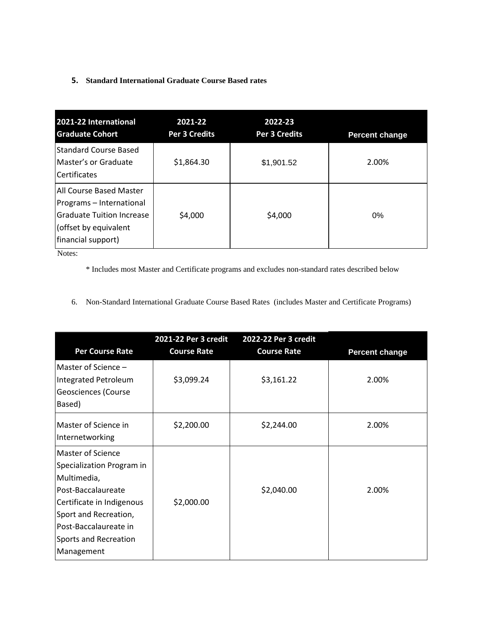### **5. Standard International Graduate Course Based rates**

| 2021-22 International<br><b>Graduate Cohort</b>                                                                                        | 2021-22<br><b>Per 3 Credits</b> | 2022-23<br><b>Per 3 Credits</b> | <b>Percent change</b> |
|----------------------------------------------------------------------------------------------------------------------------------------|---------------------------------|---------------------------------|-----------------------|
| <b>Standard Course Based</b><br>Master's or Graduate<br><b>Certificates</b>                                                            | \$1,864.30                      | \$1,901.52                      | 2.00%                 |
| All Course Based Master<br>Programs - International<br><b>Graduate Tuition Increase</b><br>(offset by equivalent<br>financial support) | \$4,000                         | \$4,000                         | $0\%$                 |

Notes:

\* Includes most Master and Certificate programs and excludes non-standard rates described below

6. Non-Standard International Graduate Course Based Rates (includes Master and Certificate Programs)

| <b>Per Course Rate</b>                                                                                                                                                                                    | 2021-22 Per 3 credit<br><b>Course Rate</b> | 2022-22 Per 3 credit<br><b>Course Rate</b> | <b>Percent change</b> |
|-----------------------------------------------------------------------------------------------------------------------------------------------------------------------------------------------------------|--------------------------------------------|--------------------------------------------|-----------------------|
| Master of Science -<br>Integrated Petroleum<br>Geosciences (Course<br>Based)                                                                                                                              | \$3,099.24                                 | \$3,161.22                                 | 2.00%                 |
| Master of Science in<br>Internetworking                                                                                                                                                                   | \$2,200.00                                 | \$2,244.00                                 | 2.00%                 |
| Master of Science<br>Specialization Program in<br>Multimedia,<br>Post-Baccalaureate<br>Certificate in Indigenous<br>Sport and Recreation,<br>Post-Baccalaureate in<br>Sports and Recreation<br>Management | \$2,000.00                                 | \$2,040.00                                 | 2.00%                 |